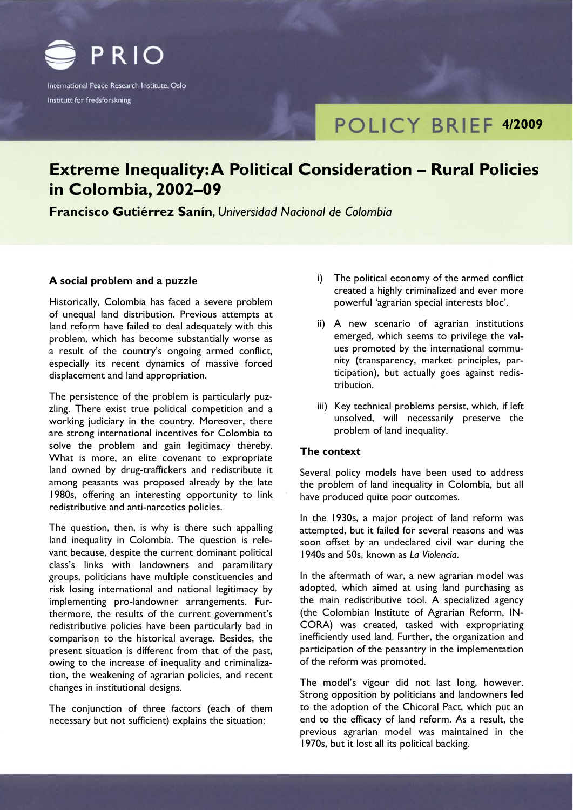

International Peace Research Institute, Oslo Institutt for fredsforskning

# **POLICY BRIEF 4/2009**

# **Extreme Inequality: A Political Consideration – Rural Policies in Colombia, 2002–09**

**Francisco Gutiérrez Sanín**, *Universidad Nacional de Colombia*

# **A social problem and a puzzle**

Historically, Colombia has faced a severe problem of unequal land distribution. Previous attempts at land reform have failed to deal adequately with this problem, which has become substantially worse as a result of the country's ongoing armed conflict, especially its recent dynamics of massive forced displacement and land appropriation.

The persistence of the problem is particularly puzzling. There exist true political competition and a working judiciary in the country. Moreover, there are strong international incentives for Colombia to solve the problem and gain legitimacy thereby. What is more, an elite covenant to expropriate land owned by drug-traffickers and redistribute it among peasants was proposed already by the late 1980s, offering an interesting opportunity to link redistributive and anti-narcotics policies.

The question, then, is why is there such appalling land inequality in Colombia. The question is relevant because, despite the current dominant political class's links with landowners and paramilitary groups, politicians have multiple constituencies and risk losing international and national legitimacy by implementing pro-landowner arrangements. Furthermore, the results of the current government's redistributive policies have been particularly bad in comparison to the historical average. Besides, the present situation is different from that of the past, owing to the increase of inequality and criminalization, the weakening of agrarian policies, and recent changes in institutional designs.

The conjunction of three factors (each of them necessary but not sufficient) explains the situation:

- i) The political economy of the armed conflict created a highly criminalized and ever more powerful 'agrarian special interests bloc'.
- ii) A new scenario of agrarian institutions emerged, which seems to privilege the values promoted by the international community (transparency, market principles, participation), but actually goes against redistribution.
- iii) Key technical problems persist, which, if left unsolved, will necessarily preserve the problem of land inequality.

## **The context**

Several policy models have been used to address the problem of land inequality in Colombia, but all have produced quite poor outcomes.

In the 1930s, a major project of land reform was attempted, but it failed for several reasons and was soon offset by an undeclared civil war during the 1940s and 50s, known as *La Violencia*.

In the aftermath of war, a new agrarian model was adopted, which aimed at using land purchasing as the main redistributive tool. A specialized agency (the Colombian Institute of Agrarian Reform, IN-CORA) was created, tasked with expropriating inefficiently used land. Further, the organization and participation of the peasantry in the implementation of the reform was promoted.

The model's vigour did not last long, however. Strong opposition by politicians and landowners led to the adoption of the Chicoral Pact, which put an end to the efficacy of land reform. As a result, the previous agrarian model was maintained in the 1970s, but it lost all its political backing.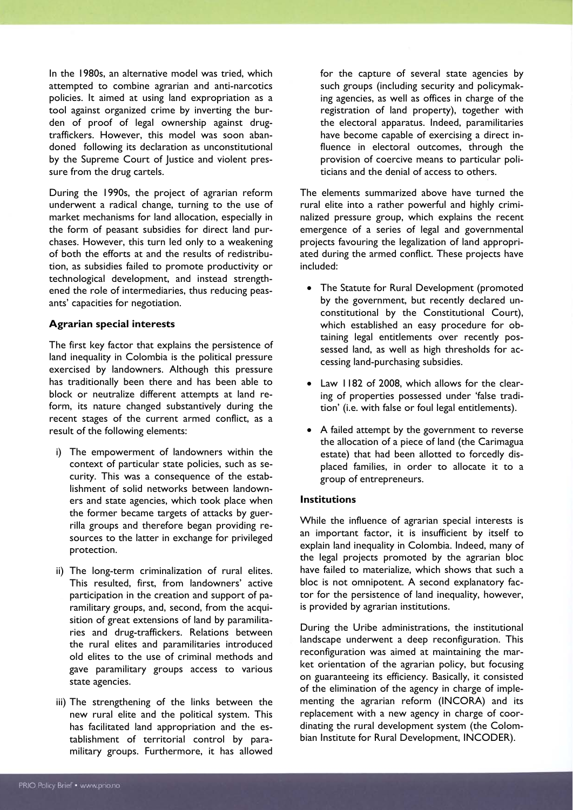In the 1980s, an alternative model was tried, which attempted to combine agrarian and anti-narcotics policies. It aimed at using land expropriation as a tool against organized crime by inverting the burden of proof of legal ownership against drugtraffickers. However, this model was soon abandoned following its declaration as unconstitutional by the Supreme Court of Justice and violent pressure from the drug cartels.

During the 1990s, the project of agrarian reform underwent a radical change, turning to the use of market mechanisms for land allocation, especially in the form of peasant subsidies for direct land purchases. However, this turn led only to a weakening of both the efforts at and the results of redistribution, as subsidies failed to promote productivity or technological development, and instead strengthened the role of intermediaries, thus reducing peasants' capacities for negotiation.

#### **Agrarian special interests**

The first key factor that explains the persistence of land inequality in Colombia is the political pressure exercised by landowners. Although this pressure has traditionally been there and has been able to block or neutralize different attempts at land reform, its nature changed substantively during the recent stages of the current armed conflict, as a result of the following elements:

- i) The empowerment of landowners within the context of particular state policies, such as security. This was a consequence of the establishment of solid networks between landowners and state agencies, which took place when the former became targets of attacks by guerrilla groups and therefore began providing resources to the latter in exchange for privileged protection.
- ii) The long-term criminalization of rural elites. This resulted, first, from landowners' active participation in the creation and support of paramilitary groups, and, second, from the acquisition of great extensions of land by paramilitaries and drug-traffickers. Relations between the rural elites and paramilitaries introduced old elites to the use of criminal methods and gave paramilitary groups access to various state agencies.
- iii) The strengthening of the links between the new rural elite and the political system. This has facilitated land appropriation and the establishment of territorial control by paramilitary groups. Furthermore, it has allowed

for the capture of several state agencies by such groups (including security and policymaking agencies, as well as offices in charge of the registration of land property), together with the electoral apparatus. Indeed, paramilitaries have become capable of exercising a direct influence in electoral outcomes, through the provision of coercive means to particular politicians and the denial of access to others.

The elements summarized above have turned the rural elite into a rather powerful and highly criminalized pressure group, which explains the recent emergence of a series of legal and governmental projects favouring the legalization of land appropriated during the armed conflict. These projects have included:

- The Statute for Rural Development (promoted by the government, but recently declared unconstitutional by the Constitutional Court), which established an easy procedure for obtaining legal entitlements over recently possessed land, as well as high thresholds for accessing land-purchasing subsidies.
- Law 1182 of 2008, which allows for the clearing of properties possessed under 'false tradition' (i.e. with false or foul legal entitlements).
- A failed attempt by the government to reverse the allocation of a piece of land (the Carimagua estate) that had been allotted to forcedly displaced families, in order to allocate it to a group of entrepreneurs.

#### **Institutions**

While the influence of agrarian special interests is an important factor, it is insufficient by itself to explain land inequality in Colombia. Indeed, many of the legal projects promoted by the agrarian bloc have failed to materialize, which shows that such a bloc is not omnipotent. A second explanatory factor for the persistence of land inequality, however, is provided by agrarian institutions.

During the Uribe administrations, the institutional landscape underwent a deep reconfiguration. This reconfiguration was aimed at maintaining the market orientation of the agrarian policy, but focusing on guaranteeing its efficiency. Basically, it consisted of the elimination of the agency in charge of implementing the agrarian reform (INCORA) and its replacement with a new agency in charge of coordinating the rural development system (the Colombian Institute for Rural Development, INCODER).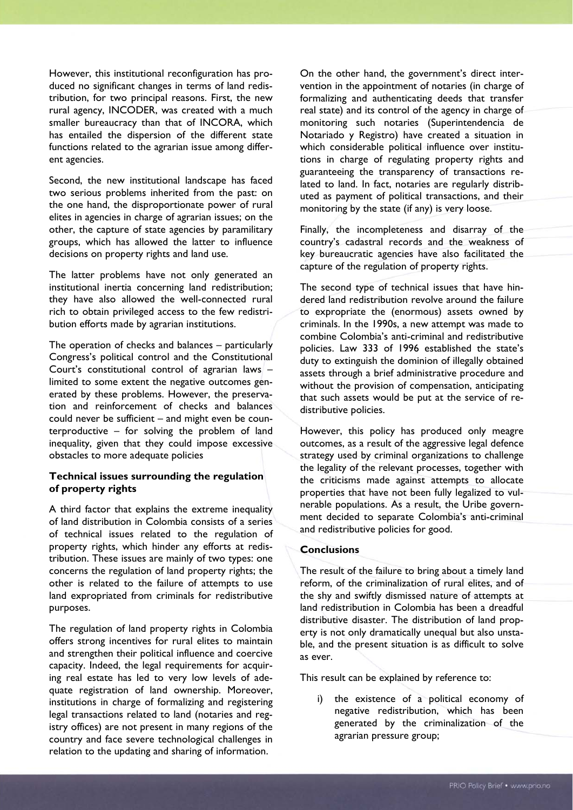However, this institutional reconfiguration has produced no significant changes in terms of land redistribution, for two principal reasons. First, the new rural agency, INCODER, was created with a much smaller bureaucracy than that of INCORA, which has entailed the dispersion of the different state functions related to the agrarian issue among different agencies.

Second, the new institutional landscape has faced two serious problems inherited from the past: on the one hand, the disproportionate power of rural elites in agencies in charge of agrarian issues; on the other, the capture of state agencies by paramilitary groups, which has allowed the latter to influence decisions on property rights and land use.

The latter problems have not only generated an institutional inertia concerning land redistribution; they have also allowed the well-connected rural rich to obtain privileged access to the few redistribution efforts made by agrarian institutions.

The operation of checks and balances – particularly Congress's political control and the Constitutional Court's constitutional control of agrarian laws – limited to some extent the negative outcomes generated by these problems. However, the preservation and reinforcement of checks and balances could never be sufficient – and might even be counterproductive – for solving the problem of land inequality, given that they could impose excessive obstacles to more adequate policies

### **Technical issues surrounding the regulation of property rights**

A third factor that explains the extreme inequality of land distribution in Colombia consists of a series of technical issues related to the regulation of property rights, which hinder any efforts at redistribution. These issues are mainly of two types: one concerns the regulation of land property rights; the other is related to the failure of attempts to use land expropriated from criminals for redistributive purposes.

The regulation of land property rights in Colombia offers strong incentives for rural elites to maintain and strengthen their political influence and coercive capacity. Indeed, the legal requirements for acquiring real estate has led to very low levels of adequate registration of land ownership. Moreover, institutions in charge of formalizing and registering legal transactions related to land (notaries and registry offices) are not present in many regions of the country and face severe technological challenges in relation to the updating and sharing of information.

On the other hand, the government's direct intervention in the appointment of notaries (in charge of formalizing and authenticating deeds that transfer real state) and its control of the agency in charge of monitoring such notaries (Superintendencia de Notariado y Registro) have created a situation in which considerable political influence over institutions in charge of regulating property rights and guaranteeing the transparency of transactions related to land. In fact, notaries are regularly distributed as payment of political transactions, and their monitoring by the state (if any) is very loose.

Finally, the incompleteness and disarray of the country's cadastral records and the weakness of key bureaucratic agencies have also facilitated the capture of the regulation of property rights.

The second type of technical issues that have hindered land redistribution revolve around the failure to expropriate the (enormous) assets owned by criminals. In the 1990s, a new attempt was made to combine Colombia's anti-criminal and redistributive policies. Law 333 of 1996 established the state's duty to extinguish the dominion of illegally obtained assets through a brief administrative procedure and without the provision of compensation, anticipating that such assets would be put at the service of redistributive policies.

However, this policy has produced only meagre outcomes, as a result of the aggressive legal defence strategy used by criminal organizations to challenge the legality of the relevant processes, together with the criticisms made against attempts to allocate properties that have not been fully legalized to vulnerable populations. As a result, the Uribe government decided to separate Colombia's anti-criminal and redistributive policies for good.

#### **Conclusions**

The result of the failure to bring about a timely land reform, of the criminalization of rural elites, and of the shy and swiftly dismissed nature of attempts at land redistribution in Colombia has been a dreadful distributive disaster. The distribution of land property is not only dramatically unequal but also unstable, and the present situation is as difficult to solve as ever.

This result can be explained by reference to:

i) the existence of a political economy of negative redistribution, which has been generated by the criminalization of the agrarian pressure group;